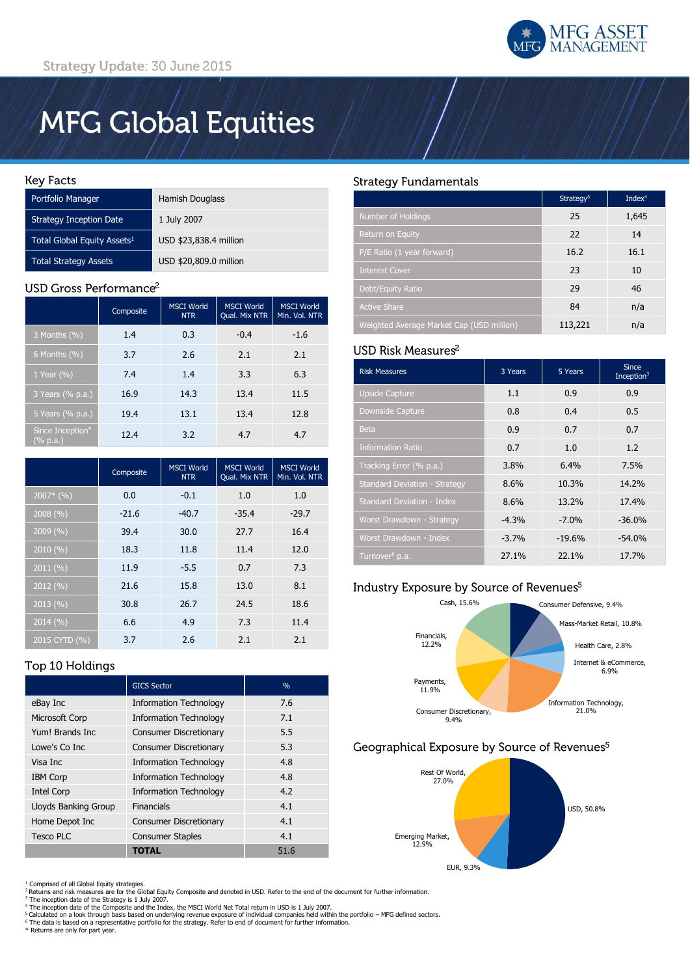# **MFG Global Equities**

#### **Key Facts**

| Portfolio Manager                       | Hamish Douglass        |
|-----------------------------------------|------------------------|
| <b>Strategy Inception Date</b>          | 1 July 2007            |
| Total Global Equity Assets <sup>1</sup> | USD \$23,838.4 million |
| <b>Total Strategy Assets</b>            | USD \$20,809.0 million |

## USD Gross Performance<sup>2</sup>

|                                          | Composite | <b>MSCI World</b><br><b>NTR</b> | <b>MSCI World</b><br>Qual. Mix NTR | <b>MSCI World</b><br>Min. Vol. NTR |
|------------------------------------------|-----------|---------------------------------|------------------------------------|------------------------------------|
| 3 Months (%)                             | 1.4       | 0.3                             | $-0.4$                             | $-1.6$                             |
| 6 Months $(\% )$                         | 3.7       | 2.6                             | 2.1                                | 2.1                                |
| 1 Year $(\% )$                           | 7.4       | 1.4                             | 3.3                                | 6.3                                |
| 3 Years (% p.a.)                         | 16.9      | 14.3                            | 13.4                               | 11.5                               |
| 5 Years (% p.a.)                         | 19.4      | 13.1                            | 13.4                               | 12.8                               |
| Since Inception <sup>4</sup><br>(% p.a.) | 12.4      | 3.2                             | 4.7                                | 4.7                                |

|               | Composite | <b>MSCI World</b><br><b>NTR</b> | <b>MSCI World</b><br>Qual. Mix NTR | <b>MSCI World</b><br>Min. Vol. NTR |
|---------------|-----------|---------------------------------|------------------------------------|------------------------------------|
| $2007*$ (%)   | 0.0       | $-0.1$                          | 1.0                                | 1.0                                |
| 2008(%)       | $-21.6$   | $-40.7$                         | $-35.4$                            | $-29.7$                            |
| 2009(%)       | 39.4      | 30.0                            | 27.7                               | 16.4                               |
| 2010 (%)      | 18.3      | 11.8                            | 11.4                               | 12.0                               |
| 2011 (%)      | 11.9      | $-5.5$                          | 0.7                                | 7.3                                |
| 2012 (%)      | 21.6      | 15.8                            | 13.0                               | 8.1                                |
| 2013(%)       | 30.8      | 26.7                            | 24.5                               | 18.6                               |
| 2014 (%)      | 6.6       | 4.9                             | 7.3                                | 11.4                               |
| 2015 CYTD (%) | 3.7       | 2.6                             | 2.1                                | 2.1                                |

## **Strategy Fundamentals**

|                                           | Strategy <sup>6</sup> | Inde $x^4$ |
|-------------------------------------------|-----------------------|------------|
| Number of Holdings                        | 25                    | 1,645      |
| <b>Return on Equity</b>                   | 22                    | 14         |
| P/E Ratio (1 year forward)                | 16.2                  | 16.1       |
| <b>Interest Cover</b>                     | 23                    | 10         |
| Debt/Equity Ratio                         | 29                    | 46         |
| <b>Active Share</b>                       | 84                    | n/a        |
| Weighted Average Market Cap (USD million) | 113,221               | n/a        |

### USD Risk Measures<sup>2</sup>

| <b>Risk Measures</b>                 | 3 Years | 5 Years  | <b>Since</b><br>Inception <sup>3</sup> |
|--------------------------------------|---------|----------|----------------------------------------|
| <b>Upside Capture</b>                | 1.1     | 0.9      | 0.9                                    |
| <b>Downside Capture</b>              | 0.8     | 0.4      | 0.5                                    |
| <b>Beta</b>                          | 0.9     | 0.7      | 0.7                                    |
| <b>Information Ratio</b>             | 0.7     | 1.0      | 1.2                                    |
| Tracking Error (% p.a.)              | 3.8%    | 6.4%     | 7.5%                                   |
| <b>Standard Deviation - Strategy</b> | 8.6%    | 10.3%    | 14.2%                                  |
| Standard Deviation - Index           | 8.6%    | 13.2%    | 17.4%                                  |
| Worst Drawdown - Strategy            | $-4.3%$ | $-7.0%$  | $-36.0%$                               |
| Worst Drawdown - Index               | $-3.7%$ | $-19.6%$ | $-54.0%$                               |
| Turnover <sup>6</sup> p.a.           | 27.1%   | 22.1%    | 17.7%                                  |

## Industry Exposure by Source of Revenues<sup>5</sup>



## Geographical Exposure by Source of Revenues<sup>5</sup>



# Top 10 Holdings

|                       | <b>GICS Sector</b>            | $\frac{0}{0}$ |
|-----------------------|-------------------------------|---------------|
| eBay Inc              | <b>Information Technology</b> | 7.6           |
| <b>Microsoft Corp</b> | <b>Information Technology</b> | 7.1           |
| Yum! Brands Inc.      | <b>Consumer Discretionary</b> | 5.5           |
| Lowe's Co Inc         | <b>Consumer Discretionary</b> | 5.3           |
| Visa Inc              | <b>Information Technology</b> | 4.8           |
| <b>IBM Corp</b>       | <b>Information Technology</b> | 4.8           |
| Intel Corp            | <b>Information Technology</b> | 4.2           |
| Lloyds Banking Group  | Financials                    | 4.1           |
| Home Depot Inc        | <b>Consumer Discretionary</b> | 4.1           |
| Tesco PLC             | <b>Consumer Staples</b>       | 4.1           |
|                       | <b>TOTAL</b>                  | 51.6          |

<sup>1</sup> Comprised of all Global Equity strategies.<br><sup>2</sup> Returns and risk measures are for the Global Equity Composite and denoted in USD. Refer to the end of the document for further information.

- 
- <sup>3</sup> The inception date of the Strategy is 1 July 2007.<br><sup>4</sup> The inception date of the Composite and the Index, the MSCI World Net Total return in USD is 1 July 2007.

<sup>5</sup> Calculated on a look through basis based on underlying revenue exposure of individual companies held within the portfolio – MFG defined sectors.<br><sup>6</sup> The data is based on a representative portfolio for the strategy. Ref

\* Returns are only for part year.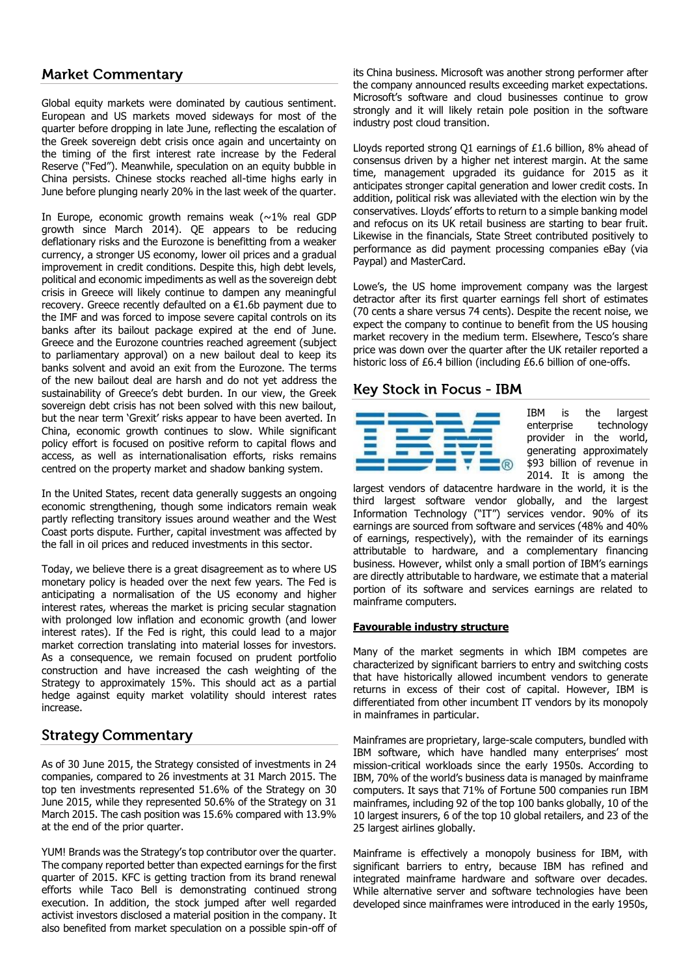# **Market Commentary**

Global equity markets were dominated by cautious sentiment. European and US markets moved sideways for most of the quarter before dropping in late June, reflecting the escalation of the Greek sovereign debt crisis once again and uncertainty on the timing of the first interest rate increase by the Federal Reserve ("Fed"). Meanwhile, speculation on an equity bubble in China persists. Chinese stocks reached all-time highs early in June before plunging nearly 20% in the last week of the quarter.

In Europe, economic growth remains weak ( $\sim$ 1% real GDP growth since March 2014). QE appears to be reducing deflationary risks and the Eurozone is benefitting from a weaker currency, a stronger US economy, lower oil prices and a gradual improvement in credit conditions. Despite this, high debt levels, political and economic impediments as well as the sovereign debt crisis in Greece will likely continue to dampen any meaningful recovery. Greece recently defaulted on a  $\epsilon$ 1.6b payment due to the IMF and was forced to impose severe capital controls on its banks after its bailout package expired at the end of June. Greece and the Eurozone countries reached agreement (subject to parliamentary approval) on a new bailout deal to keep its banks solvent and avoid an exit from the Eurozone. The terms of the new bailout deal are harsh and do not yet address the sustainability of Greece's debt burden. In our view, the Greek sovereign debt crisis has not been solved with this new bailout, but the near term 'Grexit' risks appear to have been averted. In China, economic growth continues to slow. While significant policy effort is focused on positive reform to capital flows and access, as well as internationalisation efforts, risks remains centred on the property market and shadow banking system.

In the United States, recent data generally suggests an ongoing economic strengthening, though some indicators remain weak partly reflecting transitory issues around weather and the West Coast ports dispute. Further, capital investment was affected by the fall in oil prices and reduced investments in this sector.

Today, we believe there is a great disagreement as to where US monetary policy is headed over the next few years. The Fed is anticipating a normalisation of the US economy and higher interest rates, whereas the market is pricing secular stagnation with prolonged low inflation and economic growth (and lower interest rates). If the Fed is right, this could lead to a major market correction translating into material losses for investors. As a consequence, we remain focused on prudent portfolio construction and have increased the cash weighting of the Strategy to approximately 15%. This should act as a partial hedge against equity market volatility should interest rates increase.

## **Strategy Commentary**

As of 30 June 2015, the Strategy consisted of investments in 24 companies, compared to 26 investments at 31 March 2015. The top ten investments represented 51.6% of the Strategy on 30 June 2015, while they represented 50.6% of the Strategy on 31 March 2015. The cash position was 15.6% compared with 13.9% at the end of the prior quarter.

YUM! Brands was the Strategy's top contributor over the quarter. The company reported better than expected earnings for the first quarter of 2015. KFC is getting traction from its brand renewal efforts while Taco Bell is demonstrating continued strong execution. In addition, the stock jumped after well regarded activist investors disclosed a material position in the company. It also benefited from market speculation on a possible spin-off of

its China business. Microsoft was another strong performer after the company announced results exceeding market expectations. Microsoft's software and cloud businesses continue to grow strongly and it will likely retain pole position in the software industry post cloud transition.

Lloyds reported strong Q1 earnings of £1.6 billion, 8% ahead of consensus driven by a higher net interest margin. At the same time, management upgraded its guidance for 2015 as it anticipates stronger capital generation and lower credit costs. In addition, political risk was alleviated with the election win by the conservatives. Lloyds' efforts to return to a simple banking model and refocus on its UK retail business are starting to bear fruit. Likewise in the financials, State Street contributed positively to performance as did payment processing companies eBay (via Paypal) and MasterCard.

Lowe's, the US home improvement company was the largest detractor after its first quarter earnings fell short of estimates (70 cents a share versus 74 cents). Despite the recent noise, we expect the company to continue to benefit from the US housing market recovery in the medium term. Elsewhere, Tesco's share price was down over the quarter after the UK retailer reported a historic loss of £6.4 billion (including £6.6 billion of one-offs.

# **Key Stock in Focus - IBM**



IBM is the largest enterprise technology provider in the world, generating approximately \$93 billion of revenue in 2014. It is among the

largest vendors of datacentre hardware in the world, it is the third largest software vendor globally, and the largest Information Technology ("IT") services vendor. 90% of its earnings are sourced from software and services (48% and 40% of earnings, respectively), with the remainder of its earnings attributable to hardware, and a complementary financing business. However, whilst only a small portion of IBM's earnings are directly attributable to hardware, we estimate that a material portion of its software and services earnings are related to mainframe computers.

#### **Favourable industry structure**

Many of the market segments in which IBM competes are characterized by significant barriers to entry and switching costs that have historically allowed incumbent vendors to generate returns in excess of their cost of capital. However, IBM is differentiated from other incumbent IT vendors by its monopoly in mainframes in particular.

Mainframes are proprietary, large-scale computers, bundled with IBM software, which have handled many enterprises' most mission-critical workloads since the early 1950s. According to IBM, 70% of the world's business data is managed by mainframe computers. It says that 71% of Fortune 500 companies run IBM mainframes, including 92 of the top 100 banks globally, 10 of the 10 largest insurers, 6 of the top 10 global retailers, and 23 of the 25 largest airlines globally.

Mainframe is effectively a monopoly business for IBM, with significant barriers to entry, because IBM has refined and integrated mainframe hardware and software over decades. While alternative server and software technologies have been developed since mainframes were introduced in the early 1950s,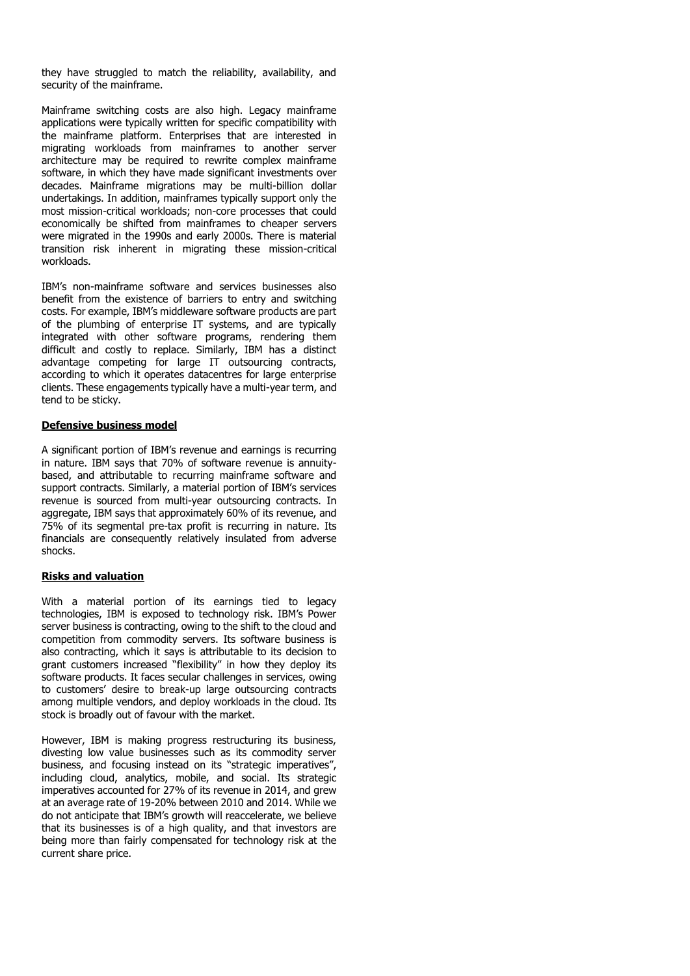they have struggled to match the reliability, availability, and security of the mainframe.

Mainframe switching costs are also high. Legacy mainframe applications were typically written for specific compatibility with the mainframe platform. Enterprises that are interested in migrating workloads from mainframes to another server architecture may be required to rewrite complex mainframe software, in which they have made significant investments over decades. Mainframe migrations may be multi-billion dollar undertakings. In addition, mainframes typically support only the most mission-critical workloads; non-core processes that could economically be shifted from mainframes to cheaper servers were migrated in the 1990s and early 2000s. There is material transition risk inherent in migrating these mission-critical workloads.

IBM's non-mainframe software and services businesses also benefit from the existence of barriers to entry and switching costs. For example, IBM's middleware software products are part of the plumbing of enterprise IT systems, and are typically integrated with other software programs, rendering them difficult and costly to replace. Similarly, IBM has a distinct advantage competing for large IT outsourcing contracts, according to which it operates datacentres for large enterprise clients. These engagements typically have a multi-year term, and tend to be sticky.

#### **Defensive business model**

A significant portion of IBM's revenue and earnings is recurring in nature. IBM says that 70% of software revenue is annuitybased, and attributable to recurring mainframe software and support contracts. Similarly, a material portion of IBM's services revenue is sourced from multi-year outsourcing contracts. In aggregate, IBM says that approximately 60% of its revenue, and 75% of its segmental pre-tax profit is recurring in nature. Its financials are consequently relatively insulated from adverse shocks.

#### **Risks and valuation**

With a material portion of its earnings tied to legacy technologies, IBM is exposed to technology risk. IBM's Power server business is contracting, owing to the shift to the cloud and competition from commodity servers. Its software business is also contracting, which it says is attributable to its decision to grant customers increased "flexibility" in how they deploy its software products. It faces secular challenges in services, owing to customers' desire to break-up large outsourcing contracts among multiple vendors, and deploy workloads in the cloud. Its stock is broadly out of favour with the market.

However, IBM is making progress restructuring its business, divesting low value businesses such as its commodity server business, and focusing instead on its "strategic imperatives", including cloud, analytics, mobile, and social. Its strategic imperatives accounted for 27% of its revenue in 2014, and grew at an average rate of 19-20% between 2010 and 2014. While we do not anticipate that IBM's growth will reaccelerate, we believe that its businesses is of a high quality, and that investors are being more than fairly compensated for technology risk at the current share price.